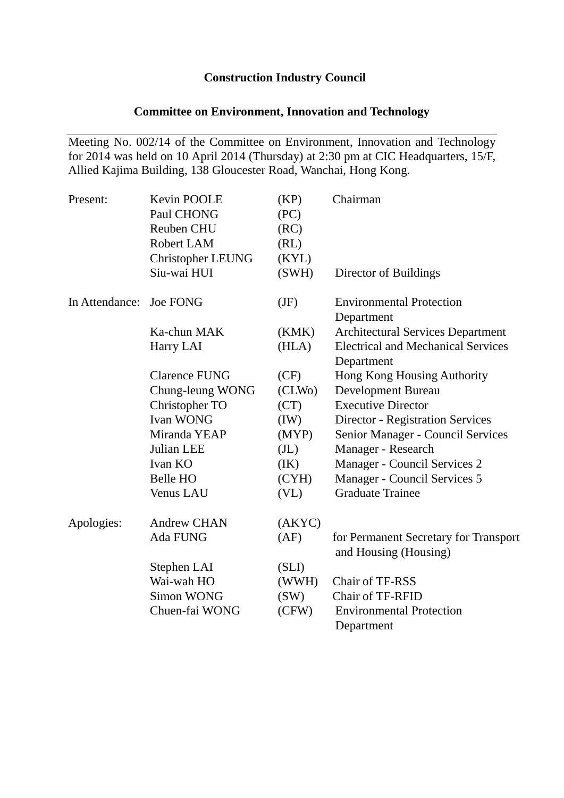# **Construction Industry Council**

# **Committee on Environment, Innovation and Technology**

Meeting No. 002/14 of the Committee on Environment, Innovation and Technology for 2014 was held on 10 April 2014 (Thursday) at 2:30 pm at CIC Headquarters, 15/F, Allied Kajima Building, 138 Gloucester Road, Wanchai, Hong Kong.

| Present:       | Kevin POOLE<br>Paul CHONG<br>Reuben CHU<br>Robert LAM | (KP)<br>(PC)<br>(RC)<br>(RL) | Chairman                                                       |
|----------------|-------------------------------------------------------|------------------------------|----------------------------------------------------------------|
|                | Christopher LEUNG                                     | (KYL)                        |                                                                |
|                | Siu-wai HUI                                           | (SWH)                        | Director of Buildings                                          |
| In Attendance: | <b>Joe FONG</b>                                       | (JF)                         | <b>Environmental Protection</b><br>Department                  |
|                | Ka-chun MAK                                           | (KMK)                        | <b>Architectural Services Department</b>                       |
|                | Harry LAI                                             | (HLA)                        | <b>Electrical and Mechanical Services</b><br>Department        |
|                | <b>Clarence FUNG</b>                                  | (CF)                         | Hong Kong Housing Authority                                    |
|                | Chung-leung WONG                                      | (CLW <sub>0</sub> )          | <b>Development Bureau</b>                                      |
|                | Christopher TO                                        | (CT)                         | <b>Executive Director</b>                                      |
|                | <b>Ivan WONG</b>                                      | (IW)                         | <b>Director - Registration Services</b>                        |
|                | Miranda YEAP                                          | (MYP)                        | Senior Manager - Council Services                              |
|                | Julian LEE                                            | (J <sub>L</sub> )            | Manager - Research                                             |
|                | Ivan KO                                               | (IK)                         | Manager - Council Services 2                                   |
|                | Belle HO                                              | (CYH)                        | Manager - Council Services 5                                   |
|                | Venus LAU                                             | (V <sub>L</sub> )            | <b>Graduate Trainee</b>                                        |
| Apologies:     | <b>Andrew CHAN</b>                                    | (AKYC)                       |                                                                |
|                | Ada FUNG                                              | (AF)                         | for Permanent Secretary for Transport<br>and Housing (Housing) |
|                | Stephen LAI                                           | (SLI)                        |                                                                |
|                | Wai-wah HO                                            | (WWH)                        | Chair of TF-RSS                                                |
|                | <b>Simon WONG</b>                                     | (SW)                         | Chair of TF-RFID                                               |
|                | Chuen-fai WONG                                        | (CFW)                        | <b>Environmental Protection</b>                                |
|                |                                                       |                              | Department                                                     |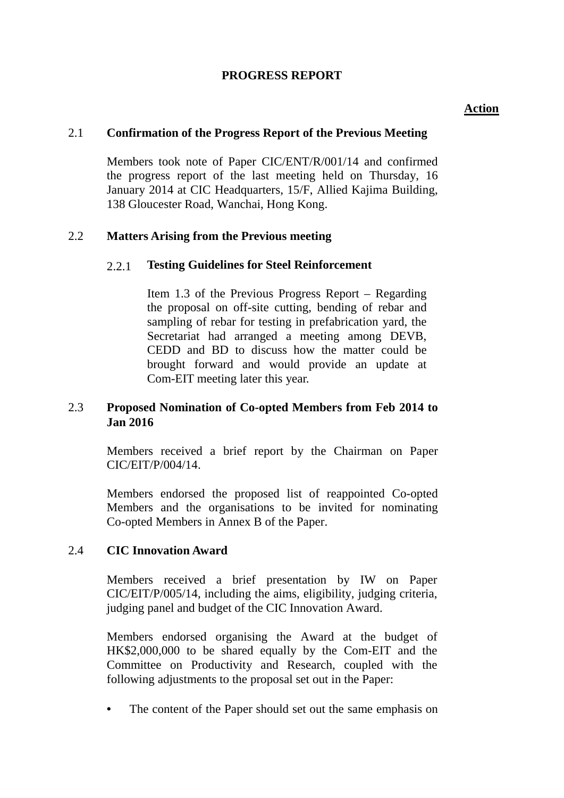# **PROGRESS REPORT**

## **Action**

#### 2.1 **Confirmation of the Progress Report of the Previous Meeting**

Members took note of Paper CIC/ENT/R/001/14 and confirmed the progress report of the last meeting held on Thursday, 16 January 2014 at CIC Headquarters, 15/F, Allied Kajima Building, 138 Gloucester Road, Wanchai, Hong Kong.

### 2.2 **Matters Arising from the Previous meeting**

### 2.2.1 **Testing Guidelines for Steel Reinforcement**

Item 1.3 of the Previous Progress Report – Regarding the proposal on off-site cutting, bending of rebar and sampling of rebar for testing in prefabrication yard, the Secretariat had arranged a meeting among DEVB, CEDD and BD to discuss how the matter could be brought forward and would provide an update at Com-EIT meeting later this year.

## 2.3 **Proposed Nomination of Co-opted Members from Feb 2014 to Jan 2016**

Members received a brief report by the Chairman on Paper CIC/EIT/P/004/14.

Members endorsed the proposed list of reappointed Co-opted Members and the organisations to be invited for nominating Co-opted Members in Annex B of the Paper.

### 2.4 **CIC Innovation Award**

Members received a brief presentation by IW on Paper CIC/EIT/P/005/14, including the aims, eligibility, judging criteria, judging panel and budget of the CIC Innovation Award.

Members endorsed organising the Award at the budget of HK\$2,000,000 to be shared equally by the Com-EIT and the Committee on Productivity and Research, coupled with the following adjustments to the proposal set out in the Paper:

• The content of the Paper should set out the same emphasis on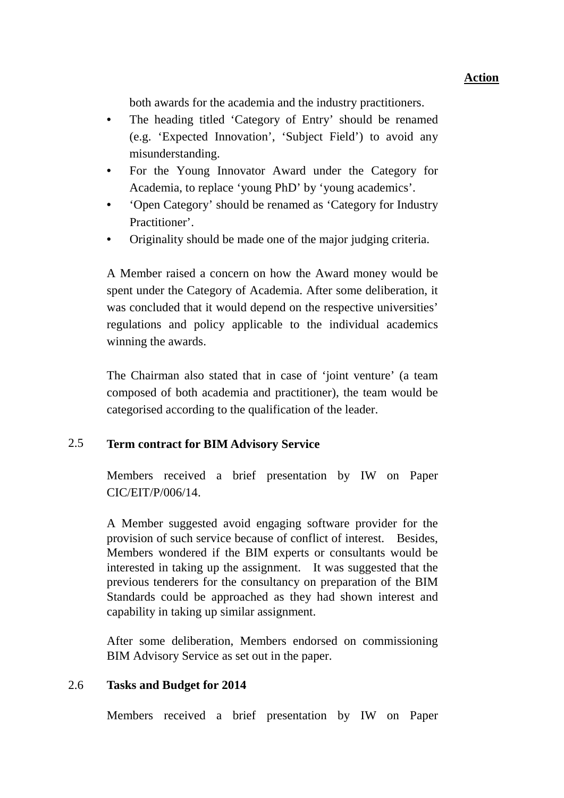both awards for the academia and the industry practitioners.

- The heading titled 'Category of Entry' should be renamed (e.g. 'Expected Innovation', 'Subject Field') to avoid any misunderstanding.
- For the Young Innovator Award under the Category for Academia, to replace 'young PhD' by 'young academics'.
- 'Open Category' should be renamed as 'Category for Industry Practitioner'.
- Originality should be made one of the major judging criteria.

A Member raised a concern on how the Award money would be spent under the Category of Academia. After some deliberation, it was concluded that it would depend on the respective universities' regulations and policy applicable to the individual academics winning the awards.

The Chairman also stated that in case of 'joint venture' (a team composed of both academia and practitioner), the team would be categorised according to the qualification of the leader.

# 2.5 **Term contract for BIM Advisory Service**

Members received a brief presentation by IW on Paper CIC/EIT/P/006/14.

A Member suggested avoid engaging software provider for the provision of such service because of conflict of interest. Besides, Members wondered if the BIM experts or consultants would be interested in taking up the assignment. It was suggested that the previous tenderers for the consultancy on preparation of the BIM Standards could be approached as they had shown interest and capability in taking up similar assignment.

After some deliberation, Members endorsed on commissioning BIM Advisory Service as set out in the paper.

# 2.6 **Tasks and Budget for 2014**

Members received a brief presentation by IW on Paper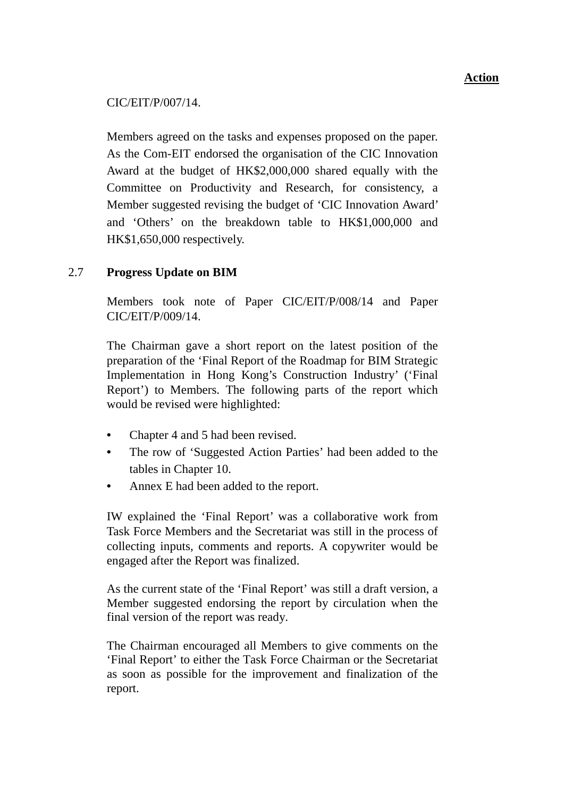CIC/EIT/P/007/14.

Members agreed on the tasks and expenses proposed on the paper. As the Com-EIT endorsed the organisation of the CIC Innovation Award at the budget of HK\$2,000,000 shared equally with the Committee on Productivity and Research, for consistency, a Member suggested revising the budget of 'CIC Innovation Award' and 'Others' on the breakdown table to HK\$1,000,000 and HK\$1,650,000 respectively.

# 2.7 **Progress Update on BIM**

Members took note of Paper CIC/EIT/P/008/14 and Paper CIC/EIT/P/009/14.

The Chairman gave a short report on the latest position of the preparation of the 'Final Report of the Roadmap for BIM Strategic Implementation in Hong Kong's Construction Industry' ('Final Report') to Members. The following parts of the report which would be revised were highlighted:

- Chapter 4 and 5 had been revised.
- The row of 'Suggested Action Parties' had been added to the tables in Chapter 10.
- Annex E had been added to the report.

IW explained the 'Final Report' was a collaborative work from Task Force Members and the Secretariat was still in the process of collecting inputs, comments and reports. A copywriter would be engaged after the Report was finalized.

As the current state of the 'Final Report' was still a draft version, a Member suggested endorsing the report by circulation when the final version of the report was ready.

The Chairman encouraged all Members to give comments on the 'Final Report' to either the Task Force Chairman or the Secretariat as soon as possible for the improvement and finalization of the report.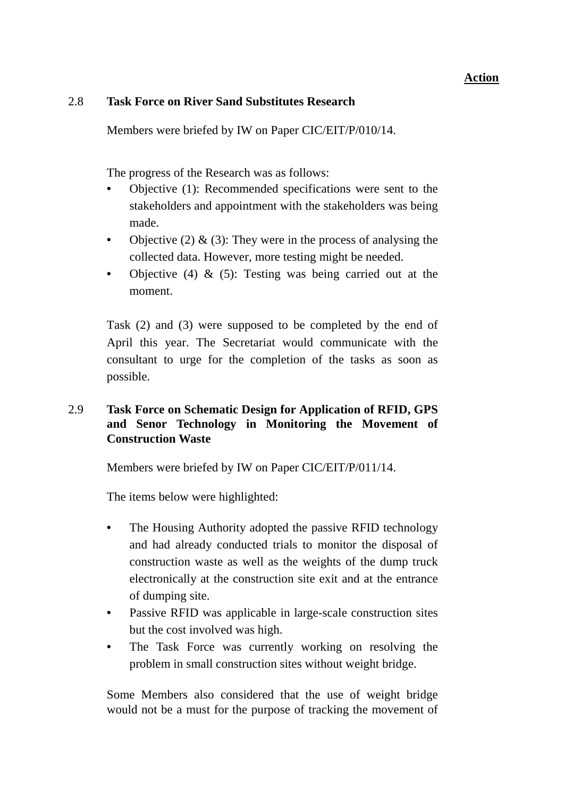## **Action**

#### 2.8 **Task Force on River Sand Substitutes Research**

Members were briefed by IW on Paper CIC/EIT/P/010/14.

The progress of the Research was as follows:

- Objective (1): Recommended specifications were sent to the stakeholders and appointment with the stakeholders was being made.
- Objective (2)  $\&$  (3): They were in the process of analysing the collected data. However, more testing might be needed.
- Objective (4) & (5): Testing was being carried out at the moment.

Task (2) and (3) were supposed to be completed by the end of April this year. The Secretariat would communicate with the consultant to urge for the completion of the tasks as soon as possible.

# 2.9 **Task Force on Schematic Design for Application of RFID, GPS and Senor Technology in Monitoring the Movement of Construction Waste**

Members were briefed by IW on Paper CIC/EIT/P/011/14.

The items below were highlighted:

- The Housing Authority adopted the passive RFID technology and had already conducted trials to monitor the disposal of construction waste as well as the weights of the dump truck electronically at the construction site exit and at the entrance of dumping site.
- Passive RFID was applicable in large-scale construction sites but the cost involved was high.
- The Task Force was currently working on resolving the problem in small construction sites without weight bridge.

Some Members also considered that the use of weight bridge would not be a must for the purpose of tracking the movement of